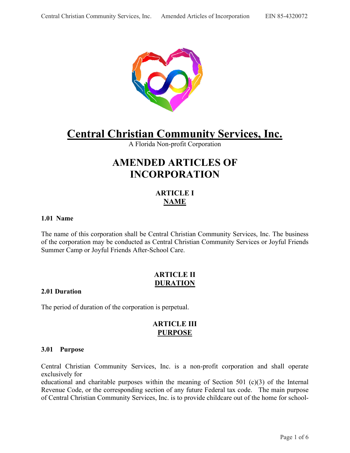

# **Central Christian Community Services, Inc.**

A Florida Non-profit Corporation

## **AMENDED ARTICLES OF INCORPORATION**

## **ARTICLE I NAME**

### **1.01 Name**

The name of this corporation shall be Central Christian Community Services, Inc. The business of the corporation may be conducted as Central Christian Community Services or Joyful Friends Summer Camp or Joyful Friends After-School Care.

## **ARTICLE II DURATION**

#### **2.01 Duration**

The period of duration of the corporation is perpetual.

## **ARTICLE III PURPOSE**

#### **3.01 Purpose**

 Central Christian Community Services, Inc. is a non-profit corporation and shall operate exclusively for

 educational and charitable purposes within the meaning of Section 501 (c)(3) of the Internal Revenue Code, or the corresponding section of any future Federal tax code. The main purpose of Central Christian Community Services, Inc. is to provide childcare out of the home for school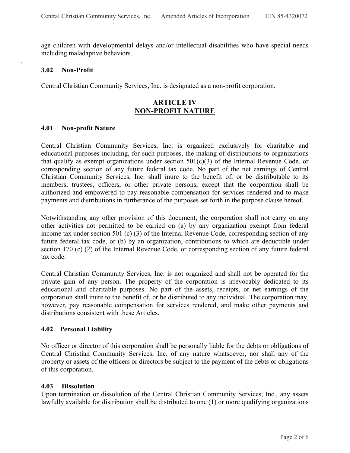age children with developmental delays and/or intellectual disabilities who have special needs including maladaptive behaviors.

#### **3.02 Non-Profit**

.

Central Christian Community Services, Inc. is designated as a non-profit corporation.

## **ARTICLE IV NON-PROFIT NATURE**

#### **4.01 Non-profit Nature**

Central Christian Community Services, Inc. is organized exclusively for charitable and educational purposes including, for such purposes, the making of distributions to organizations that qualify as exempt organizations under section 501(c)(3) of the Internal Revenue Code, or corresponding section of any future federal tax code. No part of the net earnings of Central Christian Community Services, Inc. shall inure to the benefit of, or be distributable to its members, trustees, officers, or other private persons, except that the corporation shall be authorized and empowered to pay reasonable compensation for services rendered and to make payments and distributions in furtherance of the purposes set forth in the purpose clause hereof.

Notwithstanding any other provision of this document, the corporation shall not carry on any other activities not permitted to be carried on (a) by any organization exempt from federal income tax under section 501 (c) (3) of the Internal Revenue Code, corresponding section of any future federal tax code, or (b) by an organization, contributions to which are deductible under section 170 (c) (2) of the Internal Revenue Code, or corresponding section of any future federal tax code.

Central Christian Community Services, Inc. is not organized and shall not be operated for the private gain of any person. The property of the corporation is irrevocably dedicated to its educational and charitable purposes. No part of the assets, receipts, or net earnings of the corporation shall inure to the benefit of, or be distributed to any individual. The corporation may, however, pay reasonable compensation for services rendered, and make other payments and distributions consistent with these Articles.

#### **4.02 Personal Liability**

No officer or director of this corporation shall be personally liable for the debts or obligations of Central Christian Community Services, Inc. of any nature whatsoever, nor shall any of the property or assets of the officers or directors be subject to the payment of the debts or obligations of this corporation.

#### **4.03 Dissolution**

Upon termination or dissolution of the Central Christian Community Services, Inc., any assets lawfully available for distribution shall be distributed to one (1) or more qualifying organizations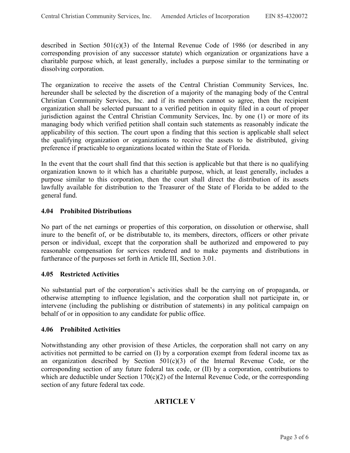described in Section 501(c)(3) of the Internal Revenue Code of 1986 (or described in any corresponding provision of any successor statute) which organization or organizations have a charitable purpose which, at least generally, includes a purpose similar to the terminating or dissolving corporation.

The organization to receive the assets of the Central Christian Community Services, Inc. hereunder shall be selected by the discretion of a majority of the managing body of the Central Christian Community Services, Inc. and if its members cannot so agree, then the recipient organization shall be selected pursuant to a verified petition in equity filed in a court of proper jurisdiction against the Central Christian Community Services, Inc. by one (1) or more of its managing body which verified petition shall contain such statements as reasonably indicate the applicability of this section. The court upon a finding that this section is applicable shall select the qualifying organization or organizations to receive the assets to be distributed, giving preference if practicable to organizations located within the State of Florida.

In the event that the court shall find that this section is applicable but that there is no qualifying organization known to it which has a charitable purpose, which, at least generally, includes a purpose similar to this corporation, then the court shall direct the distribution of its assets lawfully available for distribution to the Treasurer of the State of Florida to be added to the general fund.

## **4.04 Prohibited Distributions**

No part of the net earnings or properties of this corporation, on dissolution or otherwise, shall inure to the benefit of, or be distributable to, its members, directors, officers or other private person or individual, except that the corporation shall be authorized and empowered to pay reasonable compensation for services rendered and to make payments and distributions in furtherance of the purposes set forth in Article III, Section 3.01.

#### **4.05 Restricted Activities**

No substantial part of the corporation's activities shall be the carrying on of propaganda, or otherwise attempting to influence legislation, and the corporation shall not participate in, or intervene (including the publishing or distribution of statements) in any political campaign on behalf of or in opposition to any candidate for public office.

#### **4.06 Prohibited Activities**

Notwithstanding any other provision of these Articles, the corporation shall not carry on any activities not permitted to be carried on (I) by a corporation exempt from federal income tax as an organization described by Section 501(c)(3) of the Internal Revenue Code, or the corresponding section of any future federal tax code, or (II) by a corporation, contributions to which are deductible under Section 170(c)(2) of the Internal Revenue Code, or the corresponding section of any future federal tax code.

## **ARTICLE V**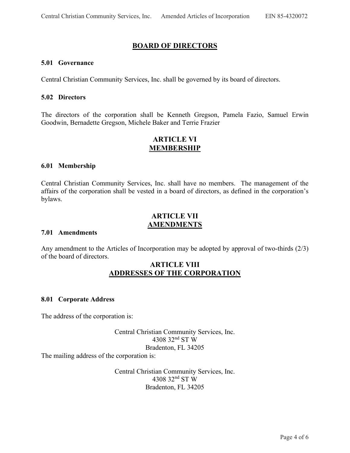## **BOARD OF DIRECTORS**

#### **5.01 Governance**

Central Christian Community Services, Inc. shall be governed by its board of directors.

#### **5.02 Directors**

The directors of the corporation shall be Kenneth Gregson, Pamela Fazio, Samuel Erwin Goodwin, Bernadette Gregson, Michele Baker and Terrie Frazier

## **ARTICLE VI MEMBERSHIP**

#### **6.01 Membership**

Central Christian Community Services, Inc. shall have no members. The management of the affairs of the corporation shall be vested in a board of directors, as defined in the corporation's bylaws.

## **ARTICLE VII AMENDMENTS**

#### **7.01 Amendments**

Any amendment to the Articles of Incorporation may be adopted by approval of two-thirds (2/3) of the board of directors.

## **ARTICLE VIII ADDRESSES OF THE CORPORATION**

#### **8.01 Corporate Address**

The address of the corporation is:

Central Christian Community Services, Inc. 4308 32nd ST W Bradenton, FL 34205

The mailing address of the corporation is:

Central Christian Community Services, Inc. 4308 32nd ST W Bradenton, FL 34205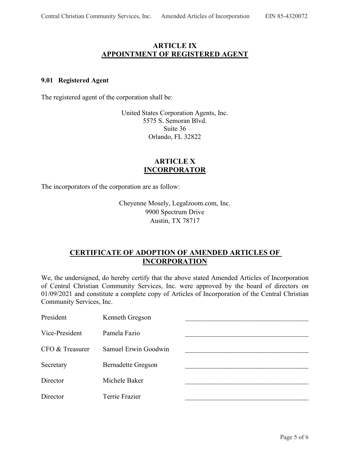## **ARTICLE IX APPOINTMENT OF REGISTERED AGENT**

#### **9.01 Registered Agent**

The registered agent of the corporation shall be:

United States Corporation Agents, Inc. 5575 S. Semoran Blvd. Suite 36 Orlando, FL 32822

## **ARTICLE X INCORPORATOR**

The incorporators of the corporation are as follow:

Cheyenne Mosely, Legalzoom.com, Inc. 9900 Spectrum Drive Austin, TX 78717

## **CERTIFICATE OF ADOPTION OF AMENDED ARTICLES OF INCORPORATION**

We, the undersigned, do hereby certify that the above stated Amended Articles of Incorporation of Central Christian Community Services, Inc. were approved by the board of directors on 01/09/2021 and constitute a complete copy of Articles of Incorporation of the Central Christian Community Services, Inc.

| President       | Kenneth Gregson           |  |
|-----------------|---------------------------|--|
| Vice-President  | Pamela Fazio              |  |
| CFO & Treasurer | Samuel Erwin Goodwin      |  |
| Secretary       | <b>Bernadette Gregson</b> |  |
| Director        | Michele Baker             |  |
| Director        | Terrie Frazier            |  |